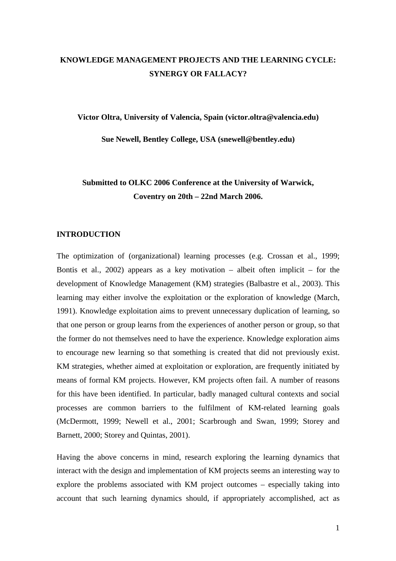# **KNOWLEDGE MANAGEMENT PROJECTS AND THE LEARNING CYCLE: SYNERGY OR FALLACY?**

**Victor Oltra, University of Valencia, Spain [\(victor.oltra@valencia.edu\)](mailto:victor.oltra@valencia.edu)** 

**Sue Newell, Bentley College, USA [\(snewell@bentley.edu\)](mailto:snewell@bentley.edu)** 

# **Submitted to OLKC 2006 Conference at the University of Warwick, Coventry on 20th – 22nd March 2006.**

## **INTRODUCTION**

The optimization of (organizational) learning processes (e.g. Crossan et al., 1999; Bontis et al., 2002) appears as a key motivation – albeit often implicit – for the development of Knowledge Management (KM) strategies (Balbastre et al., 2003). This learning may either involve the exploitation or the exploration of knowledge (March, 1991). Knowledge exploitation aims to prevent unnecessary duplication of learning, so that one person or group learns from the experiences of another person or group, so that the former do not themselves need to have the experience. Knowledge exploration aims to encourage new learning so that something is created that did not previously exist. KM strategies, whether aimed at exploitation or exploration, are frequently initiated by means of formal KM projects. However, KM projects often fail. A number of reasons for this have been identified. In particular, badly managed cultural contexts and social processes are common barriers to the fulfilment of KM-related learning goals (McDermott, 1999; Newell et al., 2001; Scarbrough and Swan, 1999; Storey and Barnett, 2000; Storey and Quintas, 2001).

Having the above concerns in mind, research exploring the learning dynamics that interact with the design and implementation of KM projects seems an interesting way to explore the problems associated with KM project outcomes – especially taking into account that such learning dynamics should, if appropriately accomplished, act as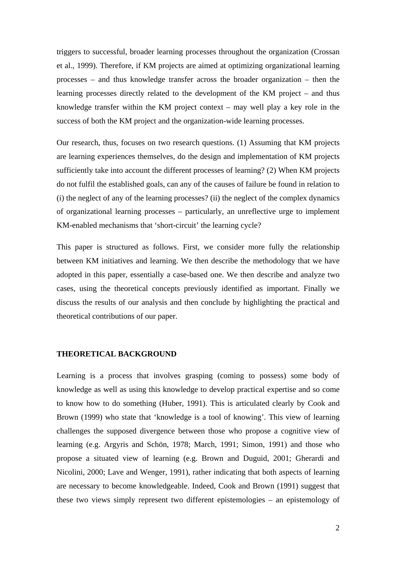triggers to successful, broader learning processes throughout the organization (Crossan et al., 1999). Therefore, if KM projects are aimed at optimizing organizational learning processes – and thus knowledge transfer across the broader organization – then the learning processes directly related to the development of the KM project – and thus knowledge transfer within the KM project context – may well play a key role in the success of both the KM project and the organization-wide learning processes.

Our research, thus, focuses on two research questions. (1) Assuming that KM projects are learning experiences themselves, do the design and implementation of KM projects sufficiently take into account the different processes of learning? (2) When KM projects do not fulfil the established goals, can any of the causes of failure be found in relation to (i) the neglect of any of the learning processes? (ii) the neglect of the complex dynamics of organizational learning processes – particularly, an unreflective urge to implement KM-enabled mechanisms that 'short-circuit' the learning cycle?

This paper is structured as follows. First, we consider more fully the relationship between KM initiatives and learning. We then describe the methodology that we have adopted in this paper, essentially a case-based one. We then describe and analyze two cases, using the theoretical concepts previously identified as important. Finally we discuss the results of our analysis and then conclude by highlighting the practical and theoretical contributions of our paper.

# **THEORETICAL BACKGROUND**

Learning is a process that involves grasping (coming to possess) some body of knowledge as well as using this knowledge to develop practical expertise and so come to know how to do something (Huber, 1991). This is articulated clearly by Cook and Brown (1999) who state that 'knowledge is a tool of knowing'. This view of learning challenges the supposed divergence between those who propose a cognitive view of learning (e.g. Argyris and Schön, 1978; March, 1991; Simon, 1991) and those who propose a situated view of learning (e.g. Brown and Duguid, 2001; Gherardi and Nicolini, 2000; Lave and Wenger, 1991), rather indicating that both aspects of learning are necessary to become knowledgeable. Indeed, Cook and Brown (1991) suggest that these two views simply represent two different epistemologies – an epistemology of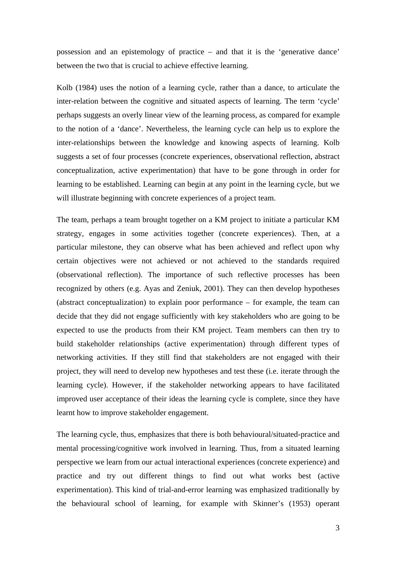possession and an epistemology of practice – and that it is the 'generative dance' between the two that is crucial to achieve effective learning.

Kolb (1984) uses the notion of a learning cycle, rather than a dance, to articulate the inter-relation between the cognitive and situated aspects of learning. The term 'cycle' perhaps suggests an overly linear view of the learning process, as compared for example to the notion of a 'dance'. Nevertheless, the learning cycle can help us to explore the inter-relationships between the knowledge and knowing aspects of learning. Kolb suggests a set of four processes (concrete experiences, observational reflection, abstract conceptualization, active experimentation) that have to be gone through in order for learning to be established. Learning can begin at any point in the learning cycle, but we will illustrate beginning with concrete experiences of a project team.

The team, perhaps a team brought together on a KM project to initiate a particular KM strategy, engages in some activities together (concrete experiences). Then, at a particular milestone, they can observe what has been achieved and reflect upon why certain objectives were not achieved or not achieved to the standards required (observational reflection). The importance of such reflective processes has been recognized by others (e.g. Ayas and Zeniuk, 2001). They can then develop hypotheses (abstract conceptualization) to explain poor performance – for example, the team can decide that they did not engage sufficiently with key stakeholders who are going to be expected to use the products from their KM project. Team members can then try to build stakeholder relationships (active experimentation) through different types of networking activities. If they still find that stakeholders are not engaged with their project, they will need to develop new hypotheses and test these (i.e. iterate through the learning cycle). However, if the stakeholder networking appears to have facilitated improved user acceptance of their ideas the learning cycle is complete, since they have learnt how to improve stakeholder engagement.

The learning cycle, thus, emphasizes that there is both behavioural/situated-practice and mental processing/cognitive work involved in learning. Thus, from a situated learning perspective we learn from our actual interactional experiences (concrete experience) and practice and try out different things to find out what works best (active experimentation). This kind of trial-and-error learning was emphasized traditionally by the behavioural school of learning, for example with Skinner's (1953) operant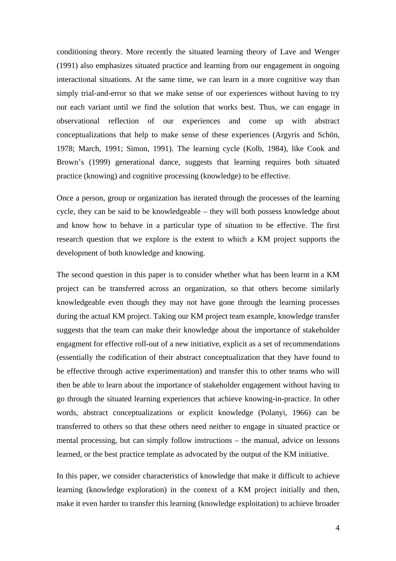conditioning theory. More recently the situated learning theory of Lave and Wenger (1991) also emphasizes situated practice and learning from our engagement in ongoing interactional situations. At the same time, we can learn in a more cognitive way than simply trial-and-error so that we make sense of our experiences without having to try out each variant until we find the solution that works best. Thus, we can engage in observational reflection of our experiences and come up with abstract conceptualizations that help to make sense of these experiences (Argyris and Schön, 1978; March, 1991; Simon, 1991). The learning cycle (Kolb, 1984), like Cook and Brown's (1999) generational dance, suggests that learning requires both situated practice (knowing) and cognitive processing (knowledge) to be effective.

Once a person, group or organization has iterated through the processes of the learning cycle, they can be said to be knowledgeable – they will both possess knowledge about and know how to behave in a particular type of situation to be effective. The first research question that we explore is the extent to which a KM project supports the development of both knowledge and knowing.

The second question in this paper is to consider whether what has been learnt in a KM project can be transferred across an organization, so that others become similarly knowledgeable even though they may not have gone through the learning processes during the actual KM project. Taking our KM project team example, knowledge transfer suggests that the team can make their knowledge about the importance of stakeholder engagment for effective roll-out of a new initiative, explicit as a set of recommendations (essentially the codification of their abstract conceptualization that they have found to be effective through active experimentation) and transfer this to other teams who will then be able to learn about the importance of stakeholder engagement without having to go through the situated learning experiences that achieve knowing-in-practice. In other words, abstract conceptualizations or explicit knowledge (Polanyi, 1966) can be transferred to others so that these others need neither to engage in situated practice or mental processing, but can simply follow instructions – the manual, advice on lessons learned, or the best practice template as advocated by the output of the KM initiative.

In this paper, we consider characteristics of knowledge that make it difficult to achieve learning (knowledge exploration) in the context of a KM project initially and then, make it even harder to transfer this learning (knowledge exploitation) to achieve broader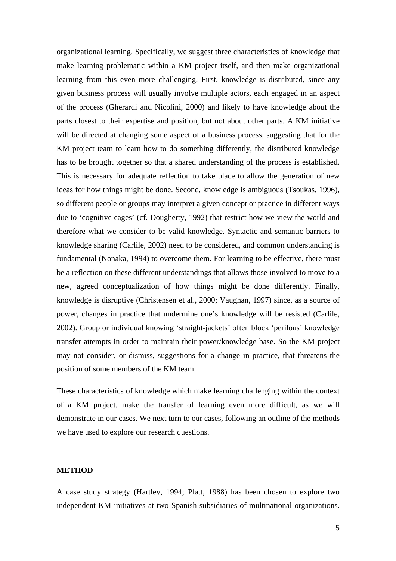organizational learning. Specifically, we suggest three characteristics of knowledge that make learning problematic within a KM project itself, and then make organizational learning from this even more challenging. First, knowledge is distributed, since any given business process will usually involve multiple actors, each engaged in an aspect of the process (Gherardi and Nicolini, 2000) and likely to have knowledge about the parts closest to their expertise and position, but not about other parts. A KM initiative will be directed at changing some aspect of a business process, suggesting that for the KM project team to learn how to do something differently, the distributed knowledge has to be brought together so that a shared understanding of the process is established. This is necessary for adequate reflection to take place to allow the generation of new ideas for how things might be done. Second, knowledge is ambiguous (Tsoukas, 1996), so different people or groups may interpret a given concept or practice in different ways due to 'cognitive cages' (cf. Dougherty, 1992) that restrict how we view the world and therefore what we consider to be valid knowledge. Syntactic and semantic barriers to knowledge sharing (Carlile, 2002) need to be considered, and common understanding is fundamental (Nonaka, 1994) to overcome them. For learning to be effective, there must be a reflection on these different understandings that allows those involved to move to a new, agreed conceptualization of how things might be done differently. Finally, knowledge is disruptive (Christensen et al., 2000; Vaughan, 1997) since, as a source of power, changes in practice that undermine one's knowledge will be resisted (Carlile, 2002). Group or individual knowing 'straight-jackets' often block 'perilous' knowledge transfer attempts in order to maintain their power/knowledge base. So the KM project may not consider, or dismiss, suggestions for a change in practice, that threatens the position of some members of the KM team.

These characteristics of knowledge which make learning challenging within the context of a KM project, make the transfer of learning even more difficult, as we will demonstrate in our cases. We next turn to our cases, following an outline of the methods we have used to explore our research questions.

# **METHOD**

A case study strategy (Hartley, 1994; Platt, 1988) has been chosen to explore two independent KM initiatives at two Spanish subsidiaries of multinational organizations.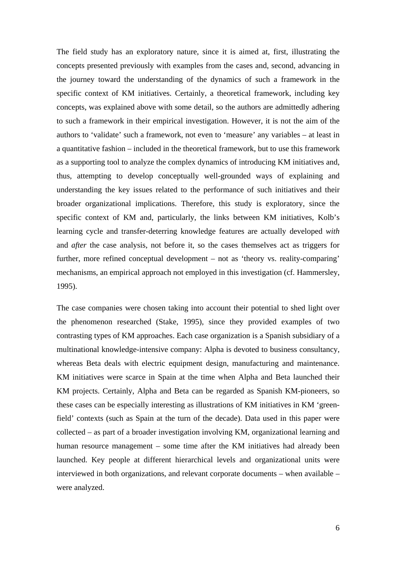The field study has an exploratory nature, since it is aimed at, first, illustrating the concepts presented previously with examples from the cases and, second, advancing in the journey toward the understanding of the dynamics of such a framework in the specific context of KM initiatives. Certainly, a theoretical framework, including key concepts, was explained above with some detail, so the authors are admittedly adhering to such a framework in their empirical investigation. However, it is not the aim of the authors to 'validate' such a framework, not even to 'measure' any variables – at least in a quantitative fashion – included in the theoretical framework, but to use this framework as a supporting tool to analyze the complex dynamics of introducing KM initiatives and, thus, attempting to develop conceptually well-grounded ways of explaining and understanding the key issues related to the performance of such initiatives and their broader organizational implications. Therefore, this study is exploratory, since the specific context of KM and, particularly, the links between KM initiatives, Kolb's learning cycle and transfer-deterring knowledge features are actually developed *with* and *after* the case analysis, not before it, so the cases themselves act as triggers for further, more refined conceptual development – not as 'theory vs. reality-comparing' mechanisms, an empirical approach not employed in this investigation (cf. Hammersley, 1995).

The case companies were chosen taking into account their potential to shed light over the phenomenon researched (Stake, 1995), since they provided examples of two contrasting types of KM approaches. Each case organization is a Spanish subsidiary of a multinational knowledge-intensive company: Alpha is devoted to business consultancy, whereas Beta deals with electric equipment design, manufacturing and maintenance. KM initiatives were scarce in Spain at the time when Alpha and Beta launched their KM projects. Certainly, Alpha and Beta can be regarded as Spanish KM-pioneers, so these cases can be especially interesting as illustrations of KM initiatives in KM 'greenfield' contexts (such as Spain at the turn of the decade). Data used in this paper were collected – as part of a broader investigation involving KM, organizational learning and human resource management – some time after the KM initiatives had already been launched. Key people at different hierarchical levels and organizational units were interviewed in both organizations, and relevant corporate documents – when available – were analyzed.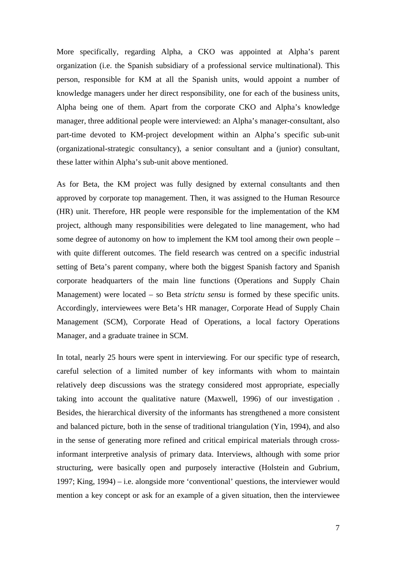More specifically, regarding Alpha, a CKO was appointed at Alpha's parent organization (i.e. the Spanish subsidiary of a professional service multinational). This person, responsible for KM at all the Spanish units, would appoint a number of knowledge managers under her direct responsibility, one for each of the business units, Alpha being one of them. Apart from the corporate CKO and Alpha's knowledge manager, three additional people were interviewed: an Alpha's manager-consultant, also part-time devoted to KM-project development within an Alpha's specific sub-unit (organizational-strategic consultancy), a senior consultant and a (junior) consultant, these latter within Alpha's sub-unit above mentioned.

As for Beta, the KM project was fully designed by external consultants and then approved by corporate top management. Then, it was assigned to the Human Resource (HR) unit. Therefore, HR people were responsible for the implementation of the KM project, although many responsibilities were delegated to line management, who had some degree of autonomy on how to implement the KM tool among their own people – with quite different outcomes. The field research was centred on a specific industrial setting of Beta's parent company, where both the biggest Spanish factory and Spanish corporate headquarters of the main line functions (Operations and Supply Chain Management) were located – so Beta *strictu sensu* is formed by these specific units. Accordingly, interviewees were Beta's HR manager, Corporate Head of Supply Chain Management (SCM), Corporate Head of Operations, a local factory Operations Manager, and a graduate trainee in SCM.

In total, nearly 25 hours were spent in interviewing. For our specific type of research, careful selection of a limited number of key informants with whom to maintain relatively deep discussions was the strategy considered most appropriate, especially taking into account the qualitative nature (Maxwell, 1996) of our investigation . Besides, the hierarchical diversity of the informants has strengthened a more consistent and balanced picture, both in the sense of traditional triangulation (Yin, 1994), and also in the sense of generating more refined and critical empirical materials through crossinformant interpretive analysis of primary data. Interviews, although with some prior structuring, were basically open and purposely interactive (Holstein and Gubrium, 1997; King, 1994) – i.e. alongside more 'conventional' questions, the interviewer would mention a key concept or ask for an example of a given situation, then the interviewee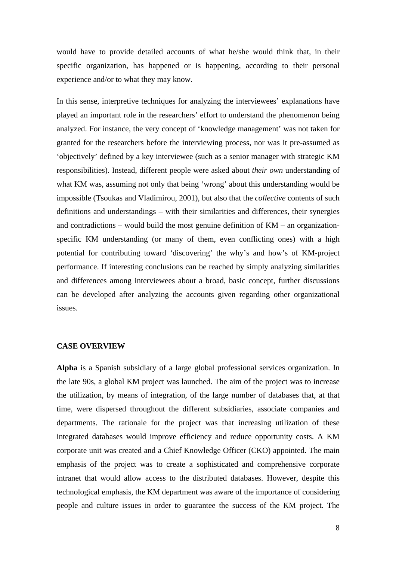would have to provide detailed accounts of what he/she would think that, in their specific organization, has happened or is happening, according to their personal experience and/or to what they may know.

In this sense, interpretive techniques for analyzing the interviewees' explanations have played an important role in the researchers' effort to understand the phenomenon being analyzed. For instance, the very concept of 'knowledge management' was not taken for granted for the researchers before the interviewing process, nor was it pre-assumed as 'objectively' defined by a key interviewee (such as a senior manager with strategic KM responsibilities). Instead, different people were asked about *their own* understanding of what KM was, assuming not only that being 'wrong' about this understanding would be impossible (Tsoukas and Vladimirou, 2001), but also that the *collective* contents of such definitions and understandings – with their similarities and differences, their synergies and contradictions – would build the most genuine definition of KM – an organizationspecific KM understanding (or many of them, even conflicting ones) with a high potential for contributing toward 'discovering' the why's and how's of KM-project performance. If interesting conclusions can be reached by simply analyzing similarities and differences among interviewees about a broad, basic concept, further discussions can be developed after analyzing the accounts given regarding other organizational issues.

## **CASE OVERVIEW**

**Alpha** is a Spanish subsidiary of a large global professional services organization. In the late 90s, a global KM project was launched. The aim of the project was to increase the utilization, by means of integration, of the large number of databases that, at that time, were dispersed throughout the different subsidiaries, associate companies and departments. The rationale for the project was that increasing utilization of these integrated databases would improve efficiency and reduce opportunity costs. A KM corporate unit was created and a Chief Knowledge Officer (CKO) appointed. The main emphasis of the project was to create a sophisticated and comprehensive corporate intranet that would allow access to the distributed databases. However, despite this technological emphasis, the KM department was aware of the importance of considering people and culture issues in order to guarantee the success of the KM project. The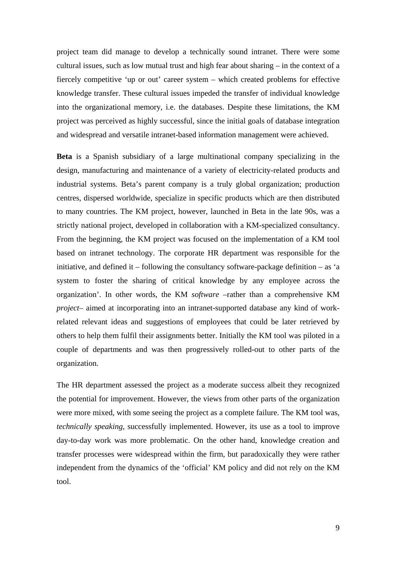project team did manage to develop a technically sound intranet. There were some cultural issues, such as low mutual trust and high fear about sharing – in the context of a fiercely competitive 'up or out' career system – which created problems for effective knowledge transfer. These cultural issues impeded the transfer of individual knowledge into the organizational memory, i.e. the databases. Despite these limitations, the KM project was perceived as highly successful, since the initial goals of database integration and widespread and versatile intranet-based information management were achieved.

**Beta** is a Spanish subsidiary of a large multinational company specializing in the design, manufacturing and maintenance of a variety of electricity-related products and industrial systems. Beta's parent company is a truly global organization; production centres, dispersed worldwide, specialize in specific products which are then distributed to many countries. The KM project, however, launched in Beta in the late 90s, was a strictly national project, developed in collaboration with a KM-specialized consultancy. From the beginning, the KM project was focused on the implementation of a KM tool based on intranet technology. The corporate HR department was responsible for the initiative, and defined it – following the consultancy software-package definition – as 'a system to foster the sharing of critical knowledge by any employee across the organization'. In other words, the KM *software* –rather than a comprehensive KM *project*– aimed at incorporating into an intranet-supported database any kind of workrelated relevant ideas and suggestions of employees that could be later retrieved by others to help them fulfil their assignments better. Initially the KM tool was piloted in a couple of departments and was then progressively rolled-out to other parts of the organization.

The HR department assessed the project as a moderate success albeit they recognized the potential for improvement. However, the views from other parts of the organization were more mixed, with some seeing the project as a complete failure. The KM tool was, *technically speaking*, successfully implemented. However, its use as a tool to improve day-to-day work was more problematic. On the other hand, knowledge creation and transfer processes were widespread within the firm, but paradoxically they were rather independent from the dynamics of the 'official' KM policy and did not rely on the KM tool.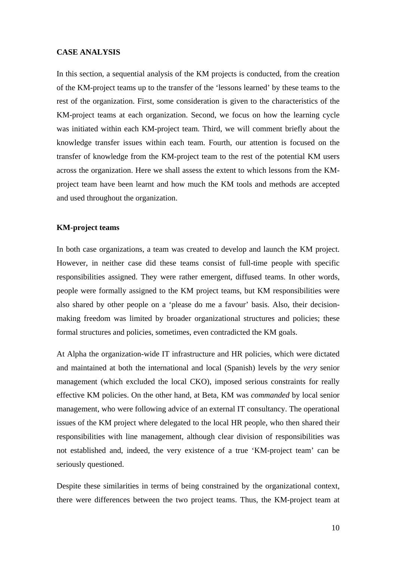# **CASE ANALYSIS**

In this section, a sequential analysis of the KM projects is conducted, from the creation of the KM-project teams up to the transfer of the 'lessons learned' by these teams to the rest of the organization. First, some consideration is given to the characteristics of the KM-project teams at each organization. Second, we focus on how the learning cycle was initiated within each KM-project team. Third, we will comment briefly about the knowledge transfer issues within each team. Fourth, our attention is focused on the transfer of knowledge from the KM-project team to the rest of the potential KM users across the organization. Here we shall assess the extent to which lessons from the KMproject team have been learnt and how much the KM tools and methods are accepted and used throughout the organization.

#### **KM-project teams**

In both case organizations, a team was created to develop and launch the KM project. However, in neither case did these teams consist of full-time people with specific responsibilities assigned. They were rather emergent, diffused teams. In other words, people were formally assigned to the KM project teams, but KM responsibilities were also shared by other people on a 'please do me a favour' basis. Also, their decisionmaking freedom was limited by broader organizational structures and policies; these formal structures and policies, sometimes, even contradicted the KM goals.

At Alpha the organization-wide IT infrastructure and HR policies, which were dictated and maintained at both the international and local (Spanish) levels by the *very* senior management (which excluded the local CKO), imposed serious constraints for really effective KM policies. On the other hand, at Beta, KM was *commanded* by local senior management, who were following advice of an external IT consultancy. The operational issues of the KM project where delegated to the local HR people, who then shared their responsibilities with line management, although clear division of responsibilities was not established and, indeed, the very existence of a true 'KM-project team' can be seriously questioned.

Despite these similarities in terms of being constrained by the organizational context, there were differences between the two project teams. Thus, the KM-project team at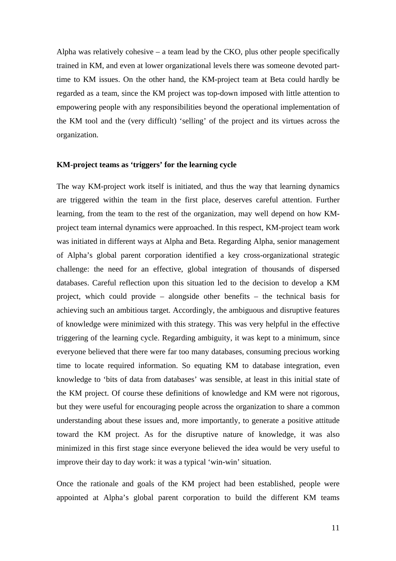Alpha was relatively cohesive  $-$  a team lead by the CKO, plus other people specifically trained in KM, and even at lower organizational levels there was someone devoted parttime to KM issues. On the other hand, the KM-project team at Beta could hardly be regarded as a team, since the KM project was top-down imposed with little attention to empowering people with any responsibilities beyond the operational implementation of the KM tool and the (very difficult) 'selling' of the project and its virtues across the organization.

## **KM-project teams as 'triggers' for the learning cycle**

The way KM-project work itself is initiated, and thus the way that learning dynamics are triggered within the team in the first place, deserves careful attention. Further learning, from the team to the rest of the organization, may well depend on how KMproject team internal dynamics were approached. In this respect, KM-project team work was initiated in different ways at Alpha and Beta. Regarding Alpha, senior management of Alpha's global parent corporation identified a key cross-organizational strategic challenge: the need for an effective, global integration of thousands of dispersed databases. Careful reflection upon this situation led to the decision to develop a KM project, which could provide – alongside other benefits – the technical basis for achieving such an ambitious target. Accordingly, the ambiguous and disruptive features of knowledge were minimized with this strategy. This was very helpful in the effective triggering of the learning cycle. Regarding ambiguity, it was kept to a minimum, since everyone believed that there were far too many databases, consuming precious working time to locate required information. So equating KM to database integration, even knowledge to 'bits of data from databases' was sensible, at least in this initial state of the KM project. Of course these definitions of knowledge and KM were not rigorous, but they were useful for encouraging people across the organization to share a common understanding about these issues and, more importantly, to generate a positive attitude toward the KM project. As for the disruptive nature of knowledge, it was also minimized in this first stage since everyone believed the idea would be very useful to improve their day to day work: it was a typical 'win-win' situation.

Once the rationale and goals of the KM project had been established, people were appointed at Alpha's global parent corporation to build the different KM teams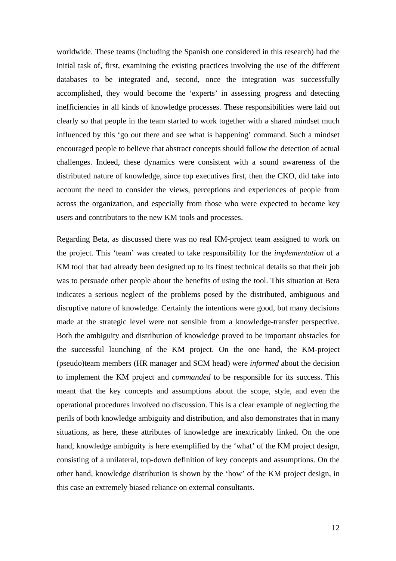worldwide. These teams (including the Spanish one considered in this research) had the initial task of, first, examining the existing practices involving the use of the different databases to be integrated and, second, once the integration was successfully accomplished, they would become the 'experts' in assessing progress and detecting inefficiencies in all kinds of knowledge processes. These responsibilities were laid out clearly so that people in the team started to work together with a shared mindset much influenced by this 'go out there and see what is happening' command. Such a mindset encouraged people to believe that abstract concepts should follow the detection of actual challenges. Indeed, these dynamics were consistent with a sound awareness of the distributed nature of knowledge, since top executives first, then the CKO, did take into account the need to consider the views, perceptions and experiences of people from across the organization, and especially from those who were expected to become key users and contributors to the new KM tools and processes.

Regarding Beta, as discussed there was no real KM-project team assigned to work on the project. This 'team' was created to take responsibility for the *implementation* of a KM tool that had already been designed up to its finest technical details so that their job was to persuade other people about the benefits of using the tool. This situation at Beta indicates a serious neglect of the problems posed by the distributed, ambiguous and disruptive nature of knowledge. Certainly the intentions were good, but many decisions made at the strategic level were not sensible from a knowledge-transfer perspective. Both the ambiguity and distribution of knowledge proved to be important obstacles for the successful launching of the KM project. On the one hand, the KM-project (pseudo)team members (HR manager and SCM head) were *informed* about the decision to implement the KM project and *commanded* to be responsible for its success. This meant that the key concepts and assumptions about the scope, style, and even the operational procedures involved no discussion. This is a clear example of neglecting the perils of both knowledge ambiguity and distribution, and also demonstrates that in many situations, as here, these attributes of knowledge are inextricably linked. On the one hand, knowledge ambiguity is here exemplified by the 'what' of the KM project design, consisting of a unilateral, top-down definition of key concepts and assumptions. On the other hand, knowledge distribution is shown by the 'how' of the KM project design, in this case an extremely biased reliance on external consultants.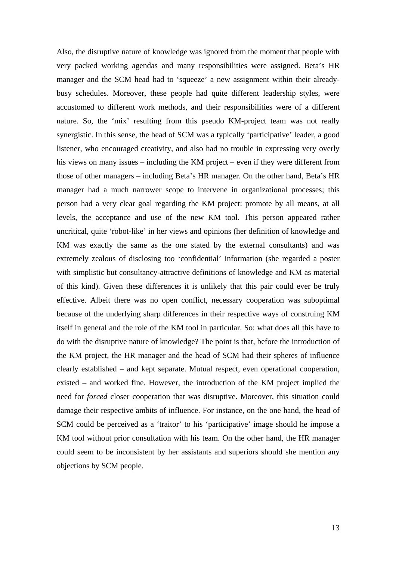Also, the disruptive nature of knowledge was ignored from the moment that people with very packed working agendas and many responsibilities were assigned. Beta's HR manager and the SCM head had to 'squeeze' a new assignment within their alreadybusy schedules. Moreover, these people had quite different leadership styles, were accustomed to different work methods, and their responsibilities were of a different nature. So, the 'mix' resulting from this pseudo KM-project team was not really synergistic. In this sense, the head of SCM was a typically 'participative' leader, a good listener, who encouraged creativity, and also had no trouble in expressing very overly his views on many issues – including the KM project – even if they were different from those of other managers – including Beta's HR manager. On the other hand, Beta's HR manager had a much narrower scope to intervene in organizational processes; this person had a very clear goal regarding the KM project: promote by all means, at all levels, the acceptance and use of the new KM tool. This person appeared rather uncritical, quite 'robot-like' in her views and opinions (her definition of knowledge and KM was exactly the same as the one stated by the external consultants) and was extremely zealous of disclosing too 'confidential' information (she regarded a poster with simplistic but consultancy-attractive definitions of knowledge and KM as material of this kind). Given these differences it is unlikely that this pair could ever be truly effective. Albeit there was no open conflict, necessary cooperation was suboptimal because of the underlying sharp differences in their respective ways of construing KM itself in general and the role of the KM tool in particular. So: what does all this have to do with the disruptive nature of knowledge? The point is that, before the introduction of the KM project, the HR manager and the head of SCM had their spheres of influence clearly established – and kept separate. Mutual respect, even operational cooperation, existed – and worked fine. However, the introduction of the KM project implied the need for *forced* closer cooperation that was disruptive. Moreover, this situation could damage their respective ambits of influence. For instance, on the one hand, the head of SCM could be perceived as a 'traitor' to his 'participative' image should he impose a KM tool without prior consultation with his team. On the other hand, the HR manager could seem to be inconsistent by her assistants and superiors should she mention any objections by SCM people.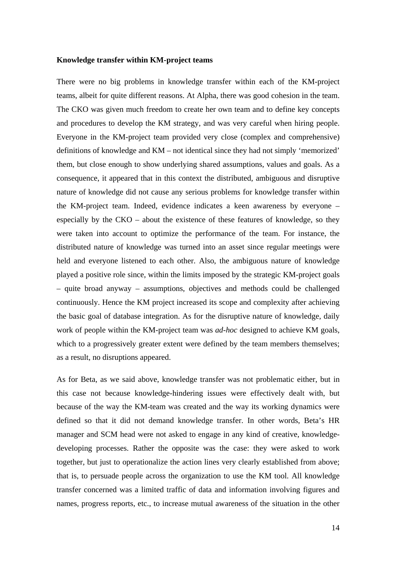#### **Knowledge transfer within KM-project teams**

There were no big problems in knowledge transfer within each of the KM-project teams, albeit for quite different reasons. At Alpha, there was good cohesion in the team. The CKO was given much freedom to create her own team and to define key concepts and procedures to develop the KM strategy, and was very careful when hiring people. Everyone in the KM-project team provided very close (complex and comprehensive) definitions of knowledge and KM – not identical since they had not simply 'memorized' them, but close enough to show underlying shared assumptions, values and goals. As a consequence, it appeared that in this context the distributed, ambiguous and disruptive nature of knowledge did not cause any serious problems for knowledge transfer within the KM-project team. Indeed, evidence indicates a keen awareness by everyone – especially by the CKO – about the existence of these features of knowledge, so they were taken into account to optimize the performance of the team. For instance, the distributed nature of knowledge was turned into an asset since regular meetings were held and everyone listened to each other. Also, the ambiguous nature of knowledge played a positive role since, within the limits imposed by the strategic KM-project goals – quite broad anyway – assumptions, objectives and methods could be challenged continuously. Hence the KM project increased its scope and complexity after achieving the basic goal of database integration. As for the disruptive nature of knowledge, daily work of people within the KM-project team was *ad-hoc* designed to achieve KM goals, which to a progressively greater extent were defined by the team members themselves; as a result, no disruptions appeared.

As for Beta, as we said above, knowledge transfer was not problematic either, but in this case not because knowledge-hindering issues were effectively dealt with, but because of the way the KM-team was created and the way its working dynamics were defined so that it did not demand knowledge transfer. In other words, Beta's HR manager and SCM head were not asked to engage in any kind of creative, knowledgedeveloping processes. Rather the opposite was the case: they were asked to work together, but just to operationalize the action lines very clearly established from above; that is, to persuade people across the organization to use the KM tool. All knowledge transfer concerned was a limited traffic of data and information involving figures and names, progress reports, etc., to increase mutual awareness of the situation in the other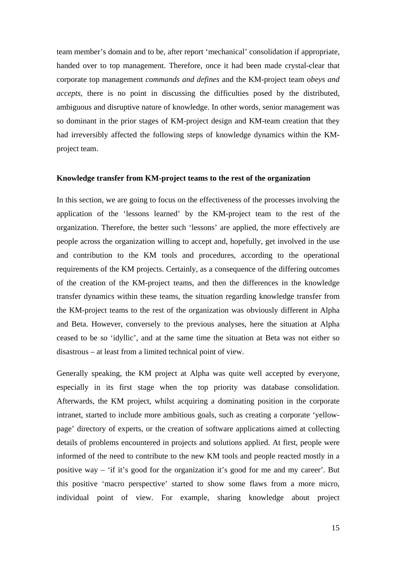team member's domain and to be, after report 'mechanical' consolidation if appropriate, handed over to top management. Therefore, once it had been made crystal-clear that corporate top management *commands and defines* and the KM-project team *obeys and accepts*, there is no point in discussing the difficulties posed by the distributed, ambiguous and disruptive nature of knowledge. In other words, senior management was so dominant in the prior stages of KM-project design and KM-team creation that they had irreversibly affected the following steps of knowledge dynamics within the KMproject team.

## **Knowledge transfer from KM-project teams to the rest of the organization**

In this section, we are going to focus on the effectiveness of the processes involving the application of the 'lessons learned' by the KM-project team to the rest of the organization. Therefore, the better such 'lessons' are applied, the more effectively are people across the organization willing to accept and, hopefully, get involved in the use and contribution to the KM tools and procedures, according to the operational requirements of the KM projects. Certainly, as a consequence of the differing outcomes of the creation of the KM-project teams, and then the differences in the knowledge transfer dynamics within these teams, the situation regarding knowledge transfer from the KM-project teams to the rest of the organization was obviously different in Alpha and Beta. However, conversely to the previous analyses, here the situation at Alpha ceased to be so 'idyllic', and at the same time the situation at Beta was not either so disastrous – at least from a limited technical point of view.

Generally speaking, the KM project at Alpha was quite well accepted by everyone, especially in its first stage when the top priority was database consolidation. Afterwards, the KM project, whilst acquiring a dominating position in the corporate intranet, started to include more ambitious goals, such as creating a corporate 'yellowpage' directory of experts, or the creation of software applications aimed at collecting details of problems encountered in projects and solutions applied. At first, people were informed of the need to contribute to the new KM tools and people reacted mostly in a positive way – 'if it's good for the organization it's good for me and my career'. But this positive 'macro perspective' started to show some flaws from a more micro, individual point of view. For example, sharing knowledge about project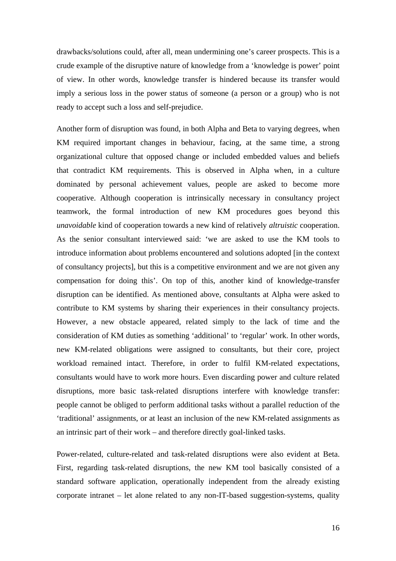drawbacks/solutions could, after all, mean undermining one's career prospects. This is a crude example of the disruptive nature of knowledge from a 'knowledge is power' point of view. In other words, knowledge transfer is hindered because its transfer would imply a serious loss in the power status of someone (a person or a group) who is not ready to accept such a loss and self-prejudice.

Another form of disruption was found, in both Alpha and Beta to varying degrees, when KM required important changes in behaviour, facing, at the same time, a strong organizational culture that opposed change or included embedded values and beliefs that contradict KM requirements. This is observed in Alpha when, in a culture dominated by personal achievement values, people are asked to become more cooperative. Although cooperation is intrinsically necessary in consultancy project teamwork, the formal introduction of new KM procedures goes beyond this *unavoidable* kind of cooperation towards a new kind of relatively *altruistic* cooperation. As the senior consultant interviewed said: 'we are asked to use the KM tools to introduce information about problems encountered and solutions adopted [in the context of consultancy projects], but this is a competitive environment and we are not given any compensation for doing this'. On top of this, another kind of knowledge-transfer disruption can be identified. As mentioned above, consultants at Alpha were asked to contribute to KM systems by sharing their experiences in their consultancy projects. However, a new obstacle appeared, related simply to the lack of time and the consideration of KM duties as something 'additional' to 'regular' work. In other words, new KM-related obligations were assigned to consultants, but their core, project workload remained intact. Therefore, in order to fulfil KM-related expectations, consultants would have to work more hours. Even discarding power and culture related disruptions, more basic task-related disruptions interfere with knowledge transfer: people cannot be obliged to perform additional tasks without a parallel reduction of the 'traditional' assignments, or at least an inclusion of the new KM-related assignments as an intrinsic part of their work – and therefore directly goal-linked tasks.

Power-related, culture-related and task-related disruptions were also evident at Beta. First, regarding task-related disruptions, the new KM tool basically consisted of a standard software application, operationally independent from the already existing corporate intranet – let alone related to any non-IT-based suggestion-systems, quality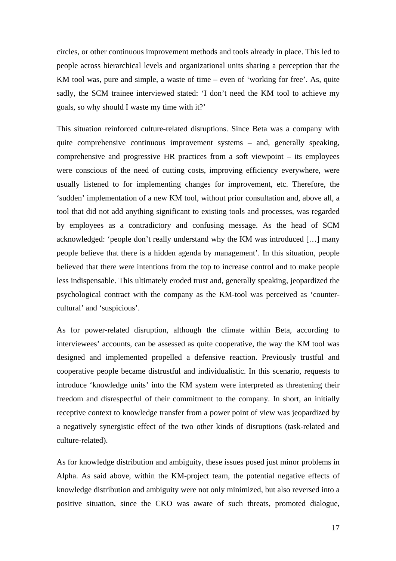circles, or other continuous improvement methods and tools already in place. This led to people across hierarchical levels and organizational units sharing a perception that the KM tool was, pure and simple, a waste of time – even of 'working for free'. As, quite sadly, the SCM trainee interviewed stated: 'I don't need the KM tool to achieve my goals, so why should I waste my time with it?'

This situation reinforced culture-related disruptions. Since Beta was a company with quite comprehensive continuous improvement systems – and, generally speaking, comprehensive and progressive HR practices from a soft viewpoint – its employees were conscious of the need of cutting costs, improving efficiency everywhere, were usually listened to for implementing changes for improvement, etc. Therefore, the 'sudden' implementation of a new KM tool, without prior consultation and, above all, a tool that did not add anything significant to existing tools and processes, was regarded by employees as a contradictory and confusing message. As the head of SCM acknowledged: 'people don't really understand why the KM was introduced […] many people believe that there is a hidden agenda by management'. In this situation, people believed that there were intentions from the top to increase control and to make people less indispensable. This ultimately eroded trust and, generally speaking, jeopardized the psychological contract with the company as the KM-tool was perceived as 'countercultural' and 'suspicious'.

As for power-related disruption, although the climate within Beta, according to interviewees' accounts, can be assessed as quite cooperative, the way the KM tool was designed and implemented propelled a defensive reaction. Previously trustful and cooperative people became distrustful and individualistic. In this scenario, requests to introduce 'knowledge units' into the KM system were interpreted as threatening their freedom and disrespectful of their commitment to the company. In short, an initially receptive context to knowledge transfer from a power point of view was jeopardized by a negatively synergistic effect of the two other kinds of disruptions (task-related and culture-related).

As for knowledge distribution and ambiguity, these issues posed just minor problems in Alpha. As said above, within the KM-project team, the potential negative effects of knowledge distribution and ambiguity were not only minimized, but also reversed into a positive situation, since the CKO was aware of such threats, promoted dialogue,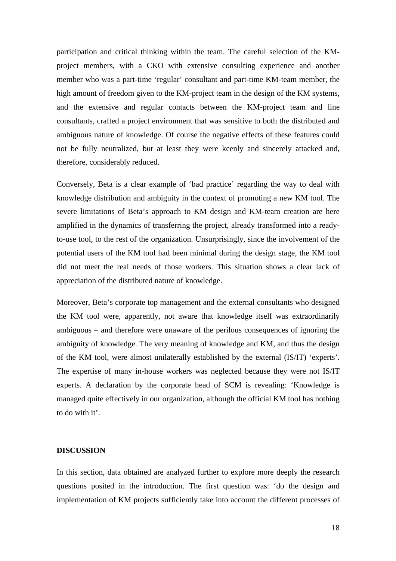participation and critical thinking within the team. The careful selection of the KMproject members, with a CKO with extensive consulting experience and another member who was a part-time 'regular' consultant and part-time KM-team member, the high amount of freedom given to the KM-project team in the design of the KM systems, and the extensive and regular contacts between the KM-project team and line consultants, crafted a project environment that was sensitive to both the distributed and ambiguous nature of knowledge. Of course the negative effects of these features could not be fully neutralized, but at least they were keenly and sincerely attacked and, therefore, considerably reduced.

Conversely, Beta is a clear example of 'bad practice' regarding the way to deal with knowledge distribution and ambiguity in the context of promoting a new KM tool. The severe limitations of Beta's approach to KM design and KM-team creation are here amplified in the dynamics of transferring the project, already transformed into a readyto-use tool, to the rest of the organization. Unsurprisingly, since the involvement of the potential users of the KM tool had been minimal during the design stage, the KM tool did not meet the real needs of those workers. This situation shows a clear lack of appreciation of the distributed nature of knowledge.

Moreover, Beta's corporate top management and the external consultants who designed the KM tool were, apparently, not aware that knowledge itself was extraordinarily ambiguous – and therefore were unaware of the perilous consequences of ignoring the ambiguity of knowledge. The very meaning of knowledge and KM, and thus the design of the KM tool, were almost unilaterally established by the external (IS/IT) 'experts'. The expertise of many in-house workers was neglected because they were not IS/IT experts. A declaration by the corporate head of SCM is revealing: 'Knowledge is managed quite effectively in our organization, although the official KM tool has nothing to do with it'.

## **DISCUSSION**

In this section, data obtained are analyzed further to explore more deeply the research questions posited in the introduction. The first question was: 'do the design and implementation of KM projects sufficiently take into account the different processes of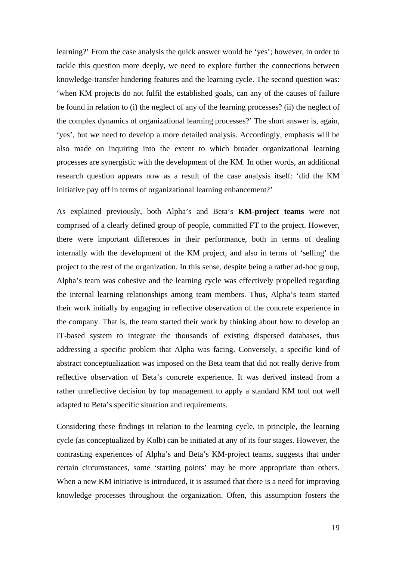learning?' From the case analysis the quick answer would be 'yes'; however, in order to tackle this question more deeply, we need to explore further the connections between knowledge-transfer hindering features and the learning cycle. The second question was: 'when KM projects do not fulfil the established goals, can any of the causes of failure be found in relation to (i) the neglect of any of the learning processes? (ii) the neglect of the complex dynamics of organizational learning processes?' The short answer is, again, 'yes', but we need to develop a more detailed analysis. Accordingly, emphasis will be also made on inquiring into the extent to which broader organizational learning processes are synergistic with the development of the KM. In other words, an additional research question appears now as a result of the case analysis itself: 'did the KM initiative pay off in terms of organizational learning enhancement?'

As explained previously, both Alpha's and Beta's **KM-project teams** were not comprised of a clearly defined group of people, committed FT to the project. However, there were important differences in their performance, both in terms of dealing internally with the development of the KM project, and also in terms of 'selling' the project to the rest of the organization. In this sense, despite being a rather ad-hoc group, Alpha's team was cohesive and the learning cycle was effectively propelled regarding the internal learning relationships among team members. Thus, Alpha's team started their work initially by engaging in reflective observation of the concrete experience in the company. That is, the team started their work by thinking about how to develop an IT-based system to integrate the thousands of existing dispersed databases, thus addressing a specific problem that Alpha was facing. Conversely, a specific kind of abstract conceptualization was imposed on the Beta team that did not really derive from reflective observation of Beta's concrete experience. It was derived instead from a rather unreflective decision by top management to apply a standard KM tool not well adapted to Beta's specific situation and requirements.

Considering these findings in relation to the learning cycle, in principle, the learning cycle (as conceptualized by Kolb) can be initiated at any of its four stages. However, the contrasting experiences of Alpha's and Beta's KM-project teams, suggests that under certain circumstances, some 'starting points' may be more appropriate than others. When a new KM initiative is introduced, it is assumed that there is a need for improving knowledge processes throughout the organization. Often, this assumption fosters the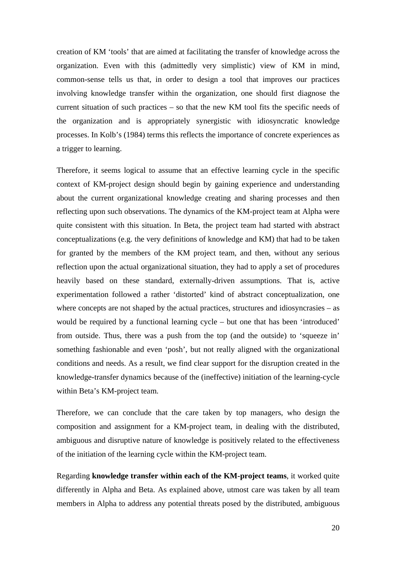creation of KM 'tools' that are aimed at facilitating the transfer of knowledge across the organization. Even with this (admittedly very simplistic) view of KM in mind, common-sense tells us that, in order to design a tool that improves our practices involving knowledge transfer within the organization, one should first diagnose the current situation of such practices – so that the new KM tool fits the specific needs of the organization and is appropriately synergistic with idiosyncratic knowledge processes. In Kolb's (1984) terms this reflects the importance of concrete experiences as a trigger to learning.

Therefore, it seems logical to assume that an effective learning cycle in the specific context of KM-project design should begin by gaining experience and understanding about the current organizational knowledge creating and sharing processes and then reflecting upon such observations. The dynamics of the KM-project team at Alpha were quite consistent with this situation. In Beta, the project team had started with abstract conceptualizations (e.g. the very definitions of knowledge and KM) that had to be taken for granted by the members of the KM project team, and then, without any serious reflection upon the actual organizational situation, they had to apply a set of procedures heavily based on these standard, externally-driven assumptions. That is, active experimentation followed a rather 'distorted' kind of abstract conceptualization, one where concepts are not shaped by the actual practices, structures and idiosyncrasies – as would be required by a functional learning cycle – but one that has been 'introduced' from outside. Thus, there was a push from the top (and the outside) to 'squeeze in' something fashionable and even 'posh', but not really aligned with the organizational conditions and needs. As a result, we find clear support for the disruption created in the knowledge-transfer dynamics because of the (ineffective) initiation of the learning-cycle within Beta's KM-project team.

Therefore, we can conclude that the care taken by top managers, who design the composition and assignment for a KM-project team, in dealing with the distributed, ambiguous and disruptive nature of knowledge is positively related to the effectiveness of the initiation of the learning cycle within the KM-project team.

Regarding **knowledge transfer within each of the KM-project teams**, it worked quite differently in Alpha and Beta. As explained above, utmost care was taken by all team members in Alpha to address any potential threats posed by the distributed, ambiguous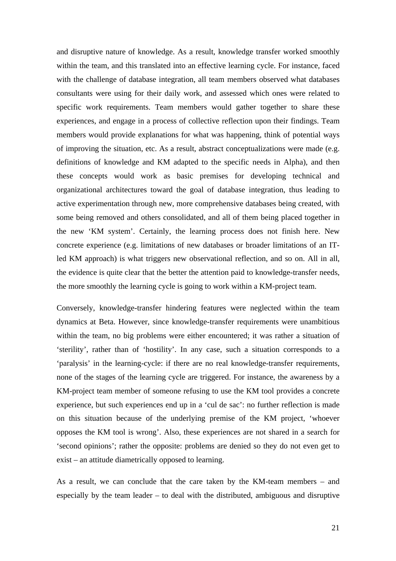and disruptive nature of knowledge. As a result, knowledge transfer worked smoothly within the team, and this translated into an effective learning cycle. For instance, faced with the challenge of database integration, all team members observed what databases consultants were using for their daily work, and assessed which ones were related to specific work requirements. Team members would gather together to share these experiences, and engage in a process of collective reflection upon their findings. Team members would provide explanations for what was happening, think of potential ways of improving the situation, etc. As a result, abstract conceptualizations were made (e.g. definitions of knowledge and KM adapted to the specific needs in Alpha), and then these concepts would work as basic premises for developing technical and organizational architectures toward the goal of database integration, thus leading to active experimentation through new, more comprehensive databases being created, with some being removed and others consolidated, and all of them being placed together in the new 'KM system'. Certainly, the learning process does not finish here. New concrete experience (e.g. limitations of new databases or broader limitations of an ITled KM approach) is what triggers new observational reflection, and so on. All in all, the evidence is quite clear that the better the attention paid to knowledge-transfer needs, the more smoothly the learning cycle is going to work within a KM-project team.

Conversely, knowledge-transfer hindering features were neglected within the team dynamics at Beta. However, since knowledge-transfer requirements were unambitious within the team, no big problems were either encountered; it was rather a situation of 'sterility', rather than of 'hostility'. In any case, such a situation corresponds to a 'paralysis' in the learning-cycle: if there are no real knowledge-transfer requirements, none of the stages of the learning cycle are triggered. For instance, the awareness by a KM-project team member of someone refusing to use the KM tool provides a concrete experience, but such experiences end up in a 'cul de sac': no further reflection is made on this situation because of the underlying premise of the KM project, 'whoever opposes the KM tool is wrong'. Also, these experiences are not shared in a search for 'second opinions'; rather the opposite: problems are denied so they do not even get to exist – an attitude diametrically opposed to learning.

As a result, we can conclude that the care taken by the KM-team members – and especially by the team leader – to deal with the distributed, ambiguous and disruptive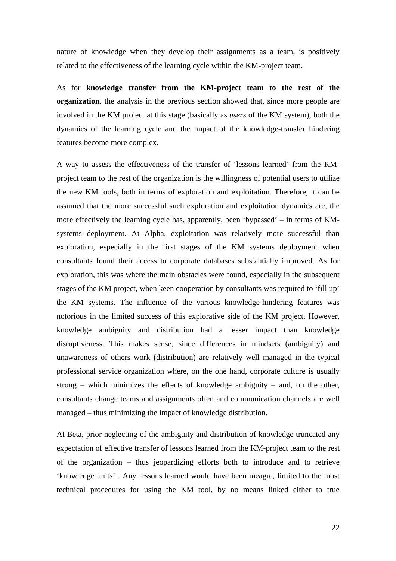nature of knowledge when they develop their assignments as a team, is positively related to the effectiveness of the learning cycle within the KM-project team.

As for **knowledge transfer from the KM-project team to the rest of the organization**, the analysis in the previous section showed that, since more people are involved in the KM project at this stage (basically as *users* of the KM system), both the dynamics of the learning cycle and the impact of the knowledge-transfer hindering features become more complex.

A way to assess the effectiveness of the transfer of 'lessons learned' from the KMproject team to the rest of the organization is the willingness of potential users to utilize the new KM tools, both in terms of exploration and exploitation. Therefore, it can be assumed that the more successful such exploration and exploitation dynamics are, the more effectively the learning cycle has, apparently, been 'bypassed' – in terms of KMsystems deployment. At Alpha, exploitation was relatively more successful than exploration, especially in the first stages of the KM systems deployment when consultants found their access to corporate databases substantially improved. As for exploration, this was where the main obstacles were found, especially in the subsequent stages of the KM project, when keen cooperation by consultants was required to 'fill up' the KM systems. The influence of the various knowledge-hindering features was notorious in the limited success of this explorative side of the KM project. However, knowledge ambiguity and distribution had a lesser impact than knowledge disruptiveness. This makes sense, since differences in mindsets (ambiguity) and unawareness of others work (distribution) are relatively well managed in the typical professional service organization where, on the one hand, corporate culture is usually strong – which minimizes the effects of knowledge ambiguity – and, on the other, consultants change teams and assignments often and communication channels are well managed – thus minimizing the impact of knowledge distribution.

At Beta, prior neglecting of the ambiguity and distribution of knowledge truncated any expectation of effective transfer of lessons learned from the KM-project team to the rest of the organization – thus jeopardizing efforts both to introduce and to retrieve 'knowledge units' . Any lessons learned would have been meagre, limited to the most technical procedures for using the KM tool, by no means linked either to true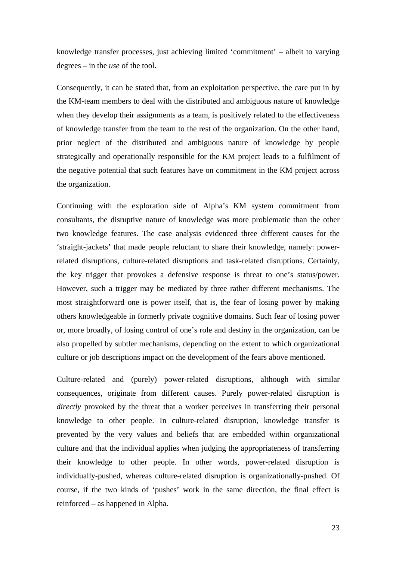knowledge transfer processes, just achieving limited 'commitment' – albeit to varying degrees – in the *use* of the tool.

Consequently, it can be stated that, from an exploitation perspective, the care put in by the KM-team members to deal with the distributed and ambiguous nature of knowledge when they develop their assignments as a team, is positively related to the effectiveness of knowledge transfer from the team to the rest of the organization. On the other hand, prior neglect of the distributed and ambiguous nature of knowledge by people strategically and operationally responsible for the KM project leads to a fulfilment of the negative potential that such features have on commitment in the KM project across the organization.

Continuing with the exploration side of Alpha's KM system commitment from consultants, the disruptive nature of knowledge was more problematic than the other two knowledge features. The case analysis evidenced three different causes for the 'straight-jackets' that made people reluctant to share their knowledge, namely: powerrelated disruptions, culture-related disruptions and task-related disruptions. Certainly, the key trigger that provokes a defensive response is threat to one's status/power. However, such a trigger may be mediated by three rather different mechanisms. The most straightforward one is power itself, that is, the fear of losing power by making others knowledgeable in formerly private cognitive domains. Such fear of losing power or, more broadly, of losing control of one's role and destiny in the organization, can be also propelled by subtler mechanisms, depending on the extent to which organizational culture or job descriptions impact on the development of the fears above mentioned.

Culture-related and (purely) power-related disruptions, although with similar consequences, originate from different causes. Purely power-related disruption is *directly* provoked by the threat that a worker perceives in transferring their personal knowledge to other people. In culture-related disruption, knowledge transfer is prevented by the very values and beliefs that are embedded within organizational culture and that the individual applies when judging the appropriateness of transferring their knowledge to other people. In other words, power-related disruption is individually-pushed, whereas culture-related disruption is organizationally-pushed. Of course, if the two kinds of 'pushes' work in the same direction, the final effect is reinforced – as happened in Alpha.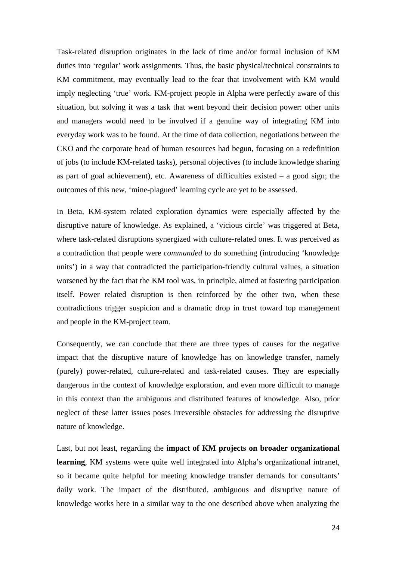Task-related disruption originates in the lack of time and/or formal inclusion of KM duties into 'regular' work assignments. Thus, the basic physical/technical constraints to KM commitment, may eventually lead to the fear that involvement with KM would imply neglecting 'true' work. KM-project people in Alpha were perfectly aware of this situation, but solving it was a task that went beyond their decision power: other units and managers would need to be involved if a genuine way of integrating KM into everyday work was to be found. At the time of data collection, negotiations between the CKO and the corporate head of human resources had begun, focusing on a redefinition of jobs (to include KM-related tasks), personal objectives (to include knowledge sharing as part of goal achievement), etc. Awareness of difficulties existed  $-$  a good sign; the outcomes of this new, 'mine-plagued' learning cycle are yet to be assessed.

In Beta, KM-system related exploration dynamics were especially affected by the disruptive nature of knowledge. As explained, a 'vicious circle' was triggered at Beta, where task-related disruptions synergized with culture-related ones. It was perceived as a contradiction that people were *commanded* to do something (introducing 'knowledge units') in a way that contradicted the participation-friendly cultural values, a situation worsened by the fact that the KM tool was, in principle, aimed at fostering participation itself. Power related disruption is then reinforced by the other two, when these contradictions trigger suspicion and a dramatic drop in trust toward top management and people in the KM-project team.

Consequently, we can conclude that there are three types of causes for the negative impact that the disruptive nature of knowledge has on knowledge transfer, namely (purely) power-related, culture-related and task-related causes. They are especially dangerous in the context of knowledge exploration, and even more difficult to manage in this context than the ambiguous and distributed features of knowledge. Also, prior neglect of these latter issues poses irreversible obstacles for addressing the disruptive nature of knowledge.

Last, but not least, regarding the **impact of KM projects on broader organizational learning**, KM systems were quite well integrated into Alpha's organizational intranet, so it became quite helpful for meeting knowledge transfer demands for consultants' daily work. The impact of the distributed, ambiguous and disruptive nature of knowledge works here in a similar way to the one described above when analyzing the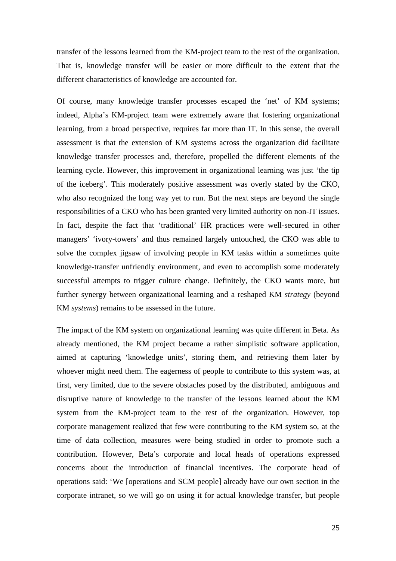transfer of the lessons learned from the KM-project team to the rest of the organization. That is, knowledge transfer will be easier or more difficult to the extent that the different characteristics of knowledge are accounted for.

Of course, many knowledge transfer processes escaped the 'net' of KM systems; indeed, Alpha's KM-project team were extremely aware that fostering organizational learning, from a broad perspective, requires far more than IT. In this sense, the overall assessment is that the extension of KM systems across the organization did facilitate knowledge transfer processes and, therefore, propelled the different elements of the learning cycle. However, this improvement in organizational learning was just 'the tip of the iceberg'. This moderately positive assessment was overly stated by the CKO, who also recognized the long way yet to run. But the next steps are beyond the single responsibilities of a CKO who has been granted very limited authority on non-IT issues. In fact, despite the fact that 'traditional' HR practices were well-secured in other managers' 'ivory-towers' and thus remained largely untouched, the CKO was able to solve the complex jigsaw of involving people in KM tasks within a sometimes quite knowledge-transfer unfriendly environment, and even to accomplish some moderately successful attempts to trigger culture change. Definitely, the CKO wants more, but further synergy between organizational learning and a reshaped KM *strategy* (beyond KM *systems*) remains to be assessed in the future.

The impact of the KM system on organizational learning was quite different in Beta. As already mentioned, the KM project became a rather simplistic software application, aimed at capturing 'knowledge units', storing them, and retrieving them later by whoever might need them. The eagerness of people to contribute to this system was, at first, very limited, due to the severe obstacles posed by the distributed, ambiguous and disruptive nature of knowledge to the transfer of the lessons learned about the KM system from the KM-project team to the rest of the organization. However, top corporate management realized that few were contributing to the KM system so, at the time of data collection, measures were being studied in order to promote such a contribution. However, Beta's corporate and local heads of operations expressed concerns about the introduction of financial incentives. The corporate head of operations said: 'We [operations and SCM people] already have our own section in the corporate intranet, so we will go on using it for actual knowledge transfer, but people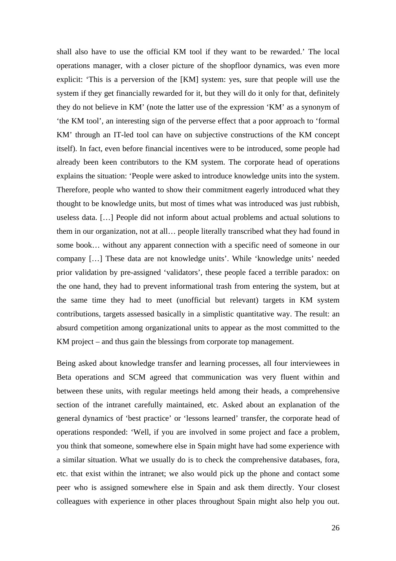shall also have to use the official KM tool if they want to be rewarded.' The local operations manager, with a closer picture of the shopfloor dynamics, was even more explicit: 'This is a perversion of the [KM] system: yes, sure that people will use the system if they get financially rewarded for it, but they will do it only for that, definitely they do not believe in KM' (note the latter use of the expression 'KM' as a synonym of 'the KM tool', an interesting sign of the perverse effect that a poor approach to 'formal KM' through an IT-led tool can have on subjective constructions of the KM concept itself). In fact, even before financial incentives were to be introduced, some people had already been keen contributors to the KM system. The corporate head of operations explains the situation: 'People were asked to introduce knowledge units into the system. Therefore, people who wanted to show their commitment eagerly introduced what they thought to be knowledge units, but most of times what was introduced was just rubbish, useless data. […] People did not inform about actual problems and actual solutions to them in our organization, not at all… people literally transcribed what they had found in some book… without any apparent connection with a specific need of someone in our company […] These data are not knowledge units'. While 'knowledge units' needed prior validation by pre-assigned 'validators', these people faced a terrible paradox: on the one hand, they had to prevent informational trash from entering the system, but at the same time they had to meet (unofficial but relevant) targets in KM system contributions, targets assessed basically in a simplistic quantitative way. The result: an absurd competition among organizational units to appear as the most committed to the KM project – and thus gain the blessings from corporate top management.

Being asked about knowledge transfer and learning processes, all four interviewees in Beta operations and SCM agreed that communication was very fluent within and between these units, with regular meetings held among their heads, a comprehensive section of the intranet carefully maintained, etc. Asked about an explanation of the general dynamics of 'best practice' or 'lessons learned' transfer, the corporate head of operations responded: 'Well, if you are involved in some project and face a problem, you think that someone, somewhere else in Spain might have had some experience with a similar situation. What we usually do is to check the comprehensive databases, fora, etc. that exist within the intranet; we also would pick up the phone and contact some peer who is assigned somewhere else in Spain and ask them directly. Your closest colleagues with experience in other places throughout Spain might also help you out.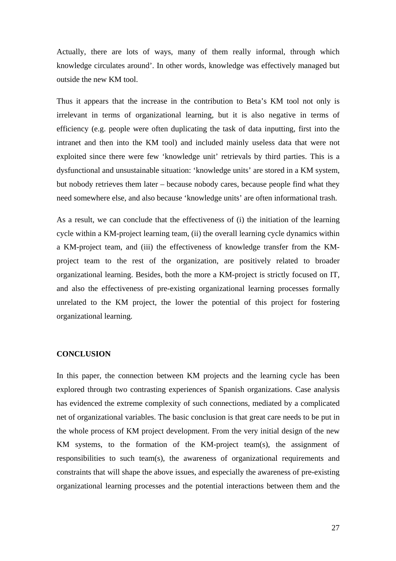Actually, there are lots of ways, many of them really informal, through which knowledge circulates around'. In other words, knowledge was effectively managed but outside the new KM tool.

Thus it appears that the increase in the contribution to Beta's KM tool not only is irrelevant in terms of organizational learning, but it is also negative in terms of efficiency (e.g. people were often duplicating the task of data inputting, first into the intranet and then into the KM tool) and included mainly useless data that were not exploited since there were few 'knowledge unit' retrievals by third parties. This is a dysfunctional and unsustainable situation: 'knowledge units' are stored in a KM system, but nobody retrieves them later – because nobody cares, because people find what they need somewhere else, and also because 'knowledge units' are often informational trash.

As a result, we can conclude that the effectiveness of (i) the initiation of the learning cycle within a KM-project learning team, (ii) the overall learning cycle dynamics within a KM-project team, and (iii) the effectiveness of knowledge transfer from the KMproject team to the rest of the organization, are positively related to broader organizational learning. Besides, both the more a KM-project is strictly focused on IT, and also the effectiveness of pre-existing organizational learning processes formally unrelated to the KM project, the lower the potential of this project for fostering organizational learning.

# **CONCLUSION**

In this paper, the connection between KM projects and the learning cycle has been explored through two contrasting experiences of Spanish organizations. Case analysis has evidenced the extreme complexity of such connections, mediated by a complicated net of organizational variables. The basic conclusion is that great care needs to be put in the whole process of KM project development. From the very initial design of the new KM systems, to the formation of the KM-project team(s), the assignment of responsibilities to such team(s), the awareness of organizational requirements and constraints that will shape the above issues, and especially the awareness of pre-existing organizational learning processes and the potential interactions between them and the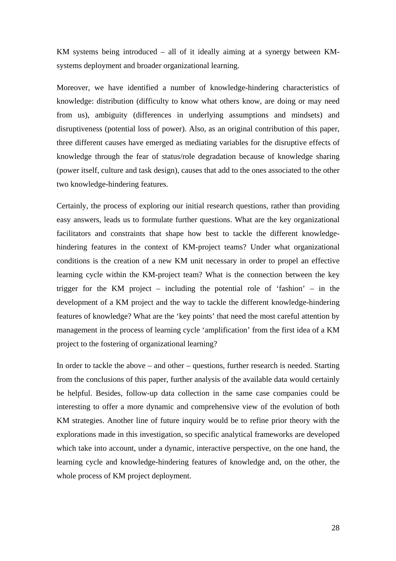KM systems being introduced – all of it ideally aiming at a synergy between KMsystems deployment and broader organizational learning.

Moreover, we have identified a number of knowledge-hindering characteristics of knowledge: distribution (difficulty to know what others know, are doing or may need from us), ambiguity (differences in underlying assumptions and mindsets) and disruptiveness (potential loss of power). Also, as an original contribution of this paper, three different causes have emerged as mediating variables for the disruptive effects of knowledge through the fear of status/role degradation because of knowledge sharing (power itself, culture and task design), causes that add to the ones associated to the other two knowledge-hindering features.

Certainly, the process of exploring our initial research questions, rather than providing easy answers, leads us to formulate further questions. What are the key organizational facilitators and constraints that shape how best to tackle the different knowledgehindering features in the context of KM-project teams? Under what organizational conditions is the creation of a new KM unit necessary in order to propel an effective learning cycle within the KM-project team? What is the connection between the key trigger for the KM project – including the potential role of 'fashion' – in the development of a KM project and the way to tackle the different knowledge-hindering features of knowledge? What are the 'key points' that need the most careful attention by management in the process of learning cycle 'amplification' from the first idea of a KM project to the fostering of organizational learning?

In order to tackle the above – and other – questions, further research is needed. Starting from the conclusions of this paper, further analysis of the available data would certainly be helpful. Besides, follow-up data collection in the same case companies could be interesting to offer a more dynamic and comprehensive view of the evolution of both KM strategies. Another line of future inquiry would be to refine prior theory with the explorations made in this investigation, so specific analytical frameworks are developed which take into account, under a dynamic, interactive perspective, on the one hand, the learning cycle and knowledge-hindering features of knowledge and, on the other, the whole process of KM project deployment.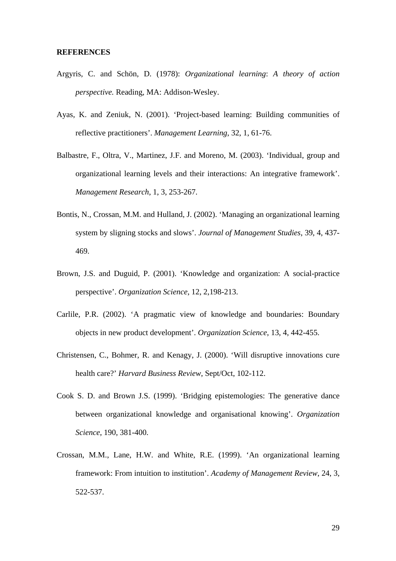## **REFERENCES**

- Argyris, C. and Schön, D. (1978): *Organizational learning*: *A theory of action perspective.* Reading, MA: Addison-Wesley.
- Ayas, K. and Zeniuk, N. (2001). 'Project-based learning: Building communities of reflective practitioners'. *Management Learning*, 32, 1, 61-76.
- Balbastre, F., Oltra, V., Martinez, J.F. and Moreno, M. (2003). 'Individual, group and organizational learning levels and their interactions: An integrative framework'. *Management Research*, 1, 3, 253-267.
- Bontis, N., Crossan, M.M. and Hulland, J. (2002). 'Managing an organizational learning system by sligning stocks and slows'. *Journal of Management Studies*, 39, 4, 437- 469.
- Brown, J.S. and Duguid, P. (2001). 'Knowledge and organization: A social-practice perspective'. *Organization Science*, 12, 2,198-213.
- Carlile, P.R. (2002). 'A pragmatic view of knowledge and boundaries: Boundary objects in new product development'. *Organization Science*, 13, 4, 442-455.
- Christensen, C., Bohmer, R. and Kenagy, J. (2000). 'Will disruptive innovations cure health care?' *Harvard Business Review*, Sept/Oct, 102-112.
- Cook S. D. and Brown J.S. (1999). 'Bridging epistemologies: The generative dance between organizational knowledge and organisational knowing'. *Organization Science*, 190, 381-400.
- Crossan, M.M., Lane, H.W. and White, R.E. (1999). 'An organizational learning framework: From intuition to institution'. *Academy of Management Review*, 24, 3, 522-537.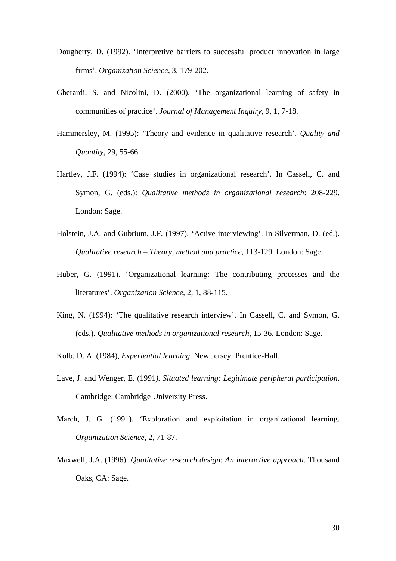- Dougherty, D. (1992). 'Interpretive barriers to successful product innovation in large firms'. *Organization Science*, 3, 179-202.
- Gherardi, S. and Nicolini, D. (2000). 'The organizational learning of safety in communities of practice'. *Journal of Management Inquiry*, 9, 1, 7-18.
- Hammersley, M. (1995): 'Theory and evidence in qualitative research'. *Quality and Quantity*, 29, 55-66.
- Hartley, J.F. (1994): 'Case studies in organizational research'. In Cassell, C. and Symon, G. (eds.): *Qualitative methods in organizational research*: 208-229. London: Sage.
- Holstein, J.A. and Gubrium, J.F. (1997). 'Active interviewing'. In Silverman, D. (ed.). *Qualitative research – Theory, method and practice*, 113-129. London: Sage.
- Huber, G. (1991). 'Organizational learning: The contributing processes and the literatures'. *Organization Science*, 2, 1, 88-115.
- King, N. (1994): 'The qualitative research interview'. In Cassell, C. and Symon, G. (eds.). *Qualitative methods in organizational research*, 15-36. London: Sage.
- Kolb, D. A. (1984), *Experiential learning*. New Jersey: Prentice-Hall.
- Lave, J. and Wenger, E. (1991*). Situated learning: Legitimate peripheral participation*. Cambridge: Cambridge University Press.
- March, J. G. (1991). 'Exploration and exploitation in organizational learning. *Organization Science,* 2, 71-87.
- Maxwell, J.A. (1996): *Qualitative research design*: *An interactive approach*. Thousand Oaks, CA: Sage.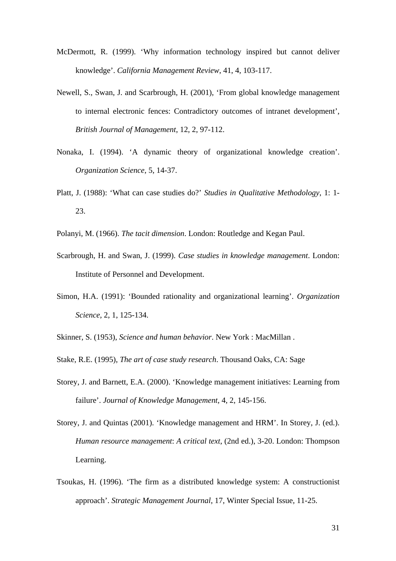- McDermott, R. (1999). 'Why information technology inspired but cannot deliver knowledge'. *California Management Review*, 41, 4, 103-117.
- Newell, S., Swan, J. and Scarbrough, H. (2001), 'From global knowledge management to internal electronic fences: Contradictory outcomes of intranet development', *British Journal of Management*, 12, 2, 97-112.
- Nonaka, I. (1994). 'A dynamic theory of organizational knowledge creation'. *Organization Science*, 5, 14-37.
- Platt, J. (1988): 'What can case studies do?' *Studies in Qualitative Methodology*, 1: 1- 23.
- Polanyi, M. (1966). *The tacit dimension*. London: Routledge and Kegan Paul.
- Scarbrough, H. and Swan, J. (1999). *Case studies in knowledge management*. London: Institute of Personnel and Development.
- Simon, H.A. (1991): 'Bounded rationality and organizational learning'. *Organization Science*, 2, 1, 125-134.
- Skinner, S. (1953), *Science and human behavior*. New York : MacMillan .
- Stake, R.E. (1995), *The art of case study research*. Thousand Oaks, CA: Sage
- Storey, J. and Barnett, E.A. (2000). 'Knowledge management initiatives: Learning from failure'. *Journal of Knowledge Management*, 4, 2, 145-156.
- Storey, J. and Quintas (2001). 'Knowledge management and HRM'. In Storey, J. (ed.). *Human resource management*: *A critical text*, (2nd ed.), 3-20. London: Thompson Learning.
- Tsoukas, H. (1996). 'The firm as a distributed knowledge system: A constructionist approach'. *Strategic Management Journal*, 17, Winter Special Issue, 11-25.